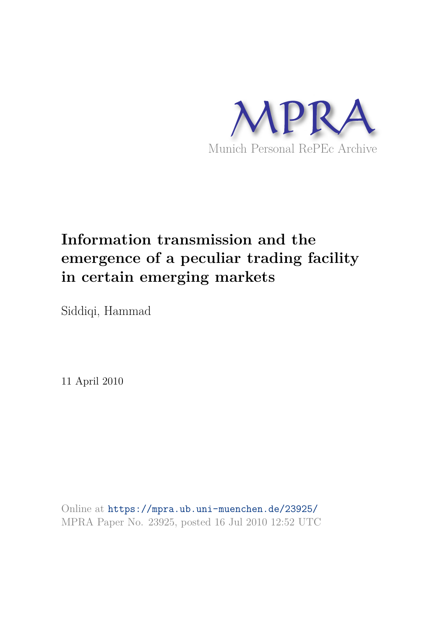

# **Information transmission and the emergence of a peculiar trading facility in certain emerging markets**

Siddiqi, Hammad

11 April 2010

Online at https://mpra.ub.uni-muenchen.de/23925/ MPRA Paper No. 23925, posted 16 Jul 2010 12:52 UTC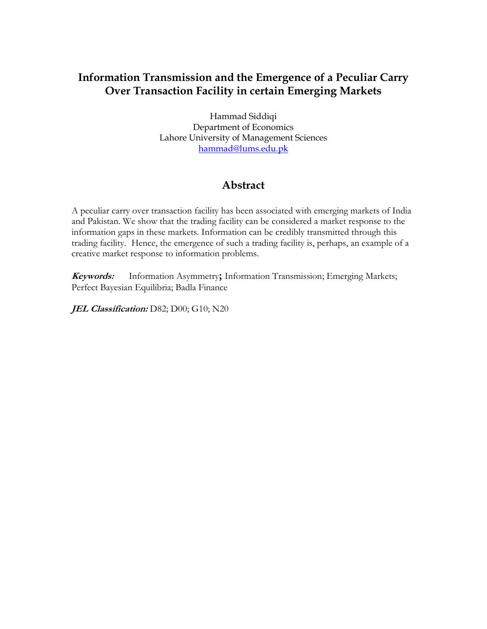# **Information Transmission and the Emergence of a Peculiar Carry Over Transaction Facility in certain Emerging Markets**

Hammad Siddiqi Department of Economics Lahore University of Management Sciences [hammad@lums.edu.pk](mailto:hammad@lums.edu.pk)

# **Abstract**

A peculiar carry over transaction facility has been associated with emerging markets of India and Pakistan. We show that the trading facility can be considered a market response to the information gaps in these markets. Information can be credibly transmitted through this trading facility. Hence, the emergence of such a trading facility is, perhaps, an example of a creative market response to information problems.

**Keywords:** Information Asymmetry**;** Information Transmission; Emerging Markets; Perfect Bayesian Equilibria; Badla Finance

JEL Classification: D82; D00; G10; N20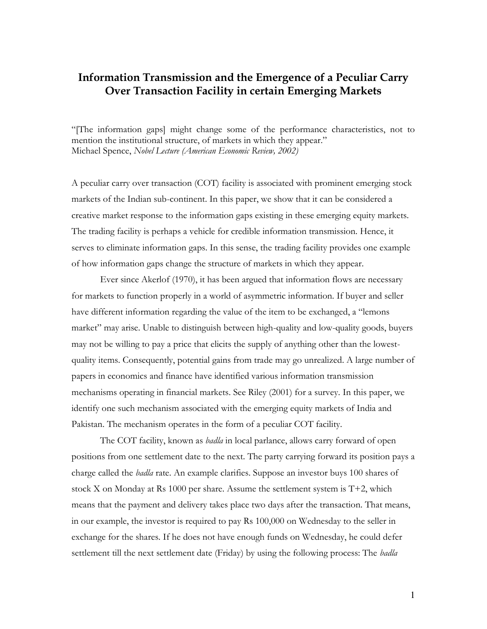## **Information Transmission and the Emergence of a Peculiar Carry Over Transaction Facility in certain Emerging Markets**

"[The information gaps] might change some of the performance characteristics, not to mention the institutional structure, of markets in which they appear." Michael Spence, *Nobel Lecture (American Economic Review, 2002)* 

A peculiar carry over transaction (COT) facility is associated with prominent emerging stock markets of the Indian sub-continent. In this paper, we show that it can be considered a creative market response to the information gaps existing in these emerging equity markets. The trading facility is perhaps a vehicle for credible information transmission. Hence, it serves to eliminate information gaps. In this sense, the trading facility provides one example of how information gaps change the structure of markets in which they appear.

 Ever since Akerlof (1970), it has been argued that information flows are necessary for markets to function properly in a world of asymmetric information. If buyer and seller have different information regarding the value of the item to be exchanged, a "lemons market" may arise. Unable to distinguish between high-quality and low-quality goods, buyers may not be willing to pay a price that elicits the supply of anything other than the lowestquality items. Consequently, potential gains from trade may go unrealized. A large number of papers in economics and finance have identified various information transmission mechanisms operating in financial markets. See Riley (2001) for a survey. In this paper, we identify one such mechanism associated with the emerging equity markets of India and Pakistan. The mechanism operates in the form of a peculiar COT facility.

The COT facility, known as *badla* in local parlance, allows carry forward of open positions from one settlement date to the next. The party carrying forward its position pays a charge called the *badla* rate. An example clarifies. Suppose an investor buys 100 shares of stock X on Monday at Rs 1000 per share. Assume the settlement system is  $T+2$ , which means that the payment and delivery takes place two days after the transaction. That means, in our example, the investor is required to pay Rs 100,000 on Wednesday to the seller in exchange for the shares. If he does not have enough funds on Wednesday, he could defer settlement till the next settlement date (Friday) by using the following process: The *badla*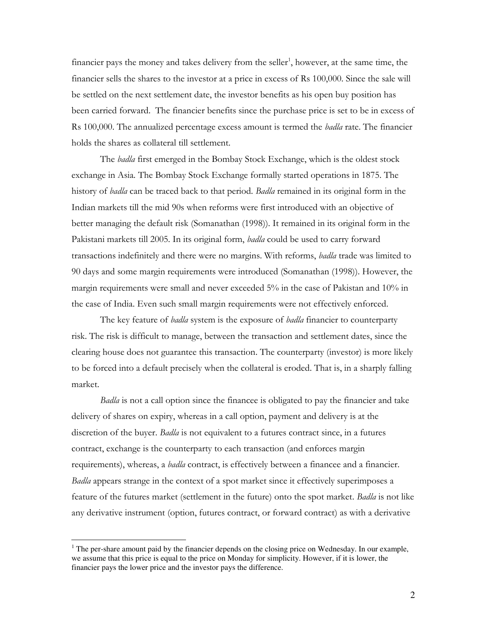financier pays the money and takes delivery from the seller<sup>1</sup>, however, at the same time, the financier sells the shares to the investor at a price in excess of Rs 100,000. Since the sale will be settled on the next settlement date, the investor benefits as his open buy position has been carried forward. The financier benefits since the purchase price is set to be in excess of Rs 100,000. The annualized percentage excess amount is termed the *badla* rate. The financier holds the shares as collateral till settlement.

The *badla* first emerged in the Bombay Stock Exchange, which is the oldest stock exchange in Asia*.* The Bombay Stock Exchange formally started operations in 1875. The history of *badla* can be traced back to that period. *Badla* remained in its original form in the Indian markets till the mid 90s when reforms were first introduced with an objective of better managing the default risk (Somanathan (1998)). It remained in its original form in the Pakistani markets till 2005. In its original form, *badla* could be used to carry forward transactions indefinitely and there were no margins. With reforms, *badla* trade was limited to 90 days and some margin requirements were introduced (Somanathan (1998)). However, the margin requirements were small and never exceeded 5% in the case of Pakistan and 10% in the case of India. Even such small margin requirements were not effectively enforced.

The key feature of *badla* system is the exposure of *badla* financier to counterparty risk. The risk is difficult to manage, between the transaction and settlement dates, since the clearing house does not guarantee this transaction. The counterparty (investor) is more likely to be forced into a default precisely when the collateral is eroded. That is, in a sharply falling market.

*Badla* is not a call option since the financee is obligated to pay the financier and take delivery of shares on expiry, whereas in a call option, payment and delivery is at the discretion of the buyer. *Badla* is not equivalent to a futures contract since, in a futures contract, exchange is the counterparty to each transaction (and enforces margin requirements), whereas, a *badla* contract, is effectively between a financee and a financier. *Badla* appears strange in the context of a spot market since it effectively superimposes a feature of the futures market (settlement in the future) onto the spot market. *Badla* is not like any derivative instrument (option, futures contract, or forward contract) as with a derivative

 $\overline{a}$ 

 $1$  The per-share amount paid by the financier depends on the closing price on Wednesday. In our example, we assume that this price is equal to the price on Monday for simplicity. However, if it is lower, the financier pays the lower price and the investor pays the difference.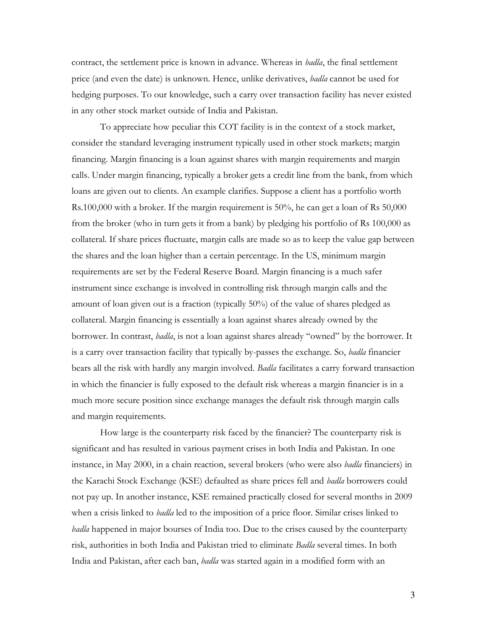contract, the settlement price is known in advance. Whereas in *badla*, the final settlement price (and even the date) is unknown. Hence, unlike derivatives, *badla* cannot be used for hedging purposes. To our knowledge, such a carry over transaction facility has never existed in any other stock market outside of India and Pakistan.

To appreciate how peculiar this COT facility is in the context of a stock market, consider the standard leveraging instrument typically used in other stock markets; margin financing. Margin financing is a loan against shares with margin requirements and margin calls. Under margin financing, typically a broker gets a credit line from the bank, from which loans are given out to clients. An example clarifies. Suppose a client has a portfolio worth Rs.100,000 with a broker. If the margin requirement is 50%, he can get a loan of Rs 50,000 from the broker (who in turn gets it from a bank) by pledging his portfolio of Rs 100,000 as collateral. If share prices fluctuate, margin calls are made so as to keep the value gap between the shares and the loan higher than a certain percentage. In the US, minimum margin requirements are set by the Federal Reserve Board. Margin financing is a much safer instrument since exchange is involved in controlling risk through margin calls and the amount of loan given out is a fraction (typically 50%) of the value of shares pledged as collateral. Margin financing is essentially a loan against shares already owned by the borrower. In contrast, *badla*, is not a loan against shares already "owned" by the borrower. It is a carry over transaction facility that typically by-passes the exchange. So, *badla* financier bears all the risk with hardly any margin involved. *Badla* facilitates a carry forward transaction in which the financier is fully exposed to the default risk whereas a margin financier is in a much more secure position since exchange manages the default risk through margin calls and margin requirements.

How large is the counterparty risk faced by the financier? The counterparty risk is significant and has resulted in various payment crises in both India and Pakistan. In one instance, in May 2000, in a chain reaction, several brokers (who were also *badla* financiers) in the Karachi Stock Exchange (KSE) defaulted as share prices fell and *badla* borrowers could not pay up. In another instance, KSE remained practically closed for several months in 2009 when a crisis linked to *badla* led to the imposition of a price floor*.* Similar crises linked to *badla* happened in major bourses of India too. Due to the crises caused by the counterparty risk, authorities in both India and Pakistan tried to eliminate *Badla* several times. In both India and Pakistan, after each ban, *badla* was started again in a modified form with an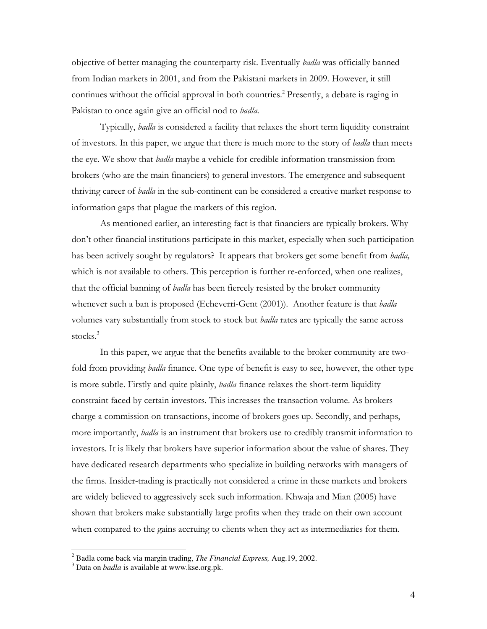objective of better managing the counterparty risk. Eventually *badla* was officially banned from Indian markets in 2001, and from the Pakistani markets in 2009. However, it still continues without the official approval in both countries.<sup>2</sup> Presently, a debate is raging in Pakistan to once again give an official nod to *badla.* 

Typically, *badla* is considered a facility that relaxes the short term liquidity constraint of investors. In this paper, we argue that there is much more to the story of *badla* than meets the eye. We show that *badla* maybe a vehicle for credible information transmission from brokers (who are the main financiers) to general investors. The emergence and subsequent thriving career of *badla* in the sub-continent can be considered a creative market response to information gaps that plague the markets of this region.

As mentioned earlier, an interesting fact is that financiers are typically brokers. Why don"t other financial institutions participate in this market, especially when such participation has been actively sought by regulators? It appears that brokers get some benefit from *badla,*  which is not available to others. This perception is further re-enforced, when one realizes, that the official banning of *badla* has been fiercely resisted by the broker community whenever such a ban is proposed (Echeverri-Gent (2001)). Another feature is that *badla*  volumes vary substantially from stock to stock but *badla* rates are typically the same across stocks.<sup>3</sup>

 In this paper, we argue that the benefits available to the broker community are twofold from providing *badla* finance. One type of benefit is easy to see, however, the other type is more subtle. Firstly and quite plainly, *badla* finance relaxes the short-term liquidity constraint faced by certain investors. This increases the transaction volume. As brokers charge a commission on transactions, income of brokers goes up. Secondly, and perhaps, more importantly, *badla* is an instrument that brokers use to credibly transmit information to investors. It is likely that brokers have superior information about the value of shares. They have dedicated research departments who specialize in building networks with managers of the firms. Insider-trading is practically not considered a crime in these markets and brokers are widely believed to aggressively seek such information. Khwaja and Mian (2005) have shown that brokers make substantially large profits when they trade on their own account when compared to the gains accruing to clients when they act as intermediaries for them.

 2 Badla come back via margin trading, *The Financial Express,* Aug.19, 2002.

<sup>3</sup> Data on *badla* is available at www.kse.org.pk.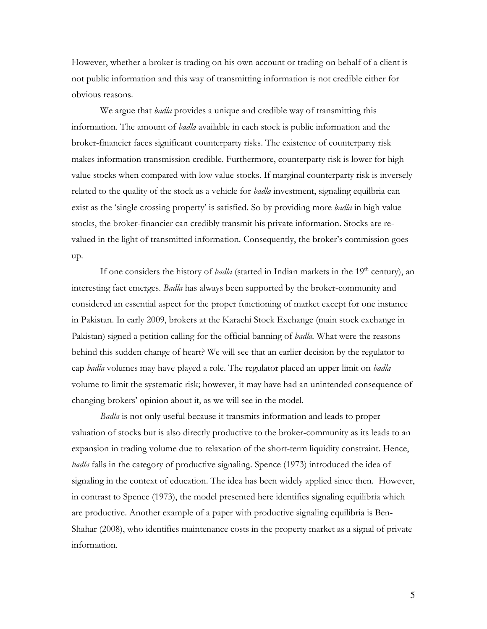However, whether a broker is trading on his own account or trading on behalf of a client is not public information and this way of transmitting information is not credible either for obvious reasons.

We argue that *badla* provides a unique and credible way of transmitting this information. The amount of *badla* available in each stock is public information and the broker-financier faces significant counterparty risks. The existence of counterparty risk makes information transmission credible. Furthermore, counterparty risk is lower for high value stocks when compared with low value stocks. If marginal counterparty risk is inversely related to the quality of the stock as a vehicle for *badla* investment, signaling equilbria can exist as the "single crossing property" is satisfied. So by providing more *badla* in high value stocks, the broker-financier can credibly transmit his private information. Stocks are revalued in the light of transmitted information. Consequently, the broker"s commission goes up.

If one considers the history of *badla* (started in Indian markets in the 19<sup>th</sup> century), an interesting fact emerges. *Badla* has always been supported by the broker-community and considered an essential aspect for the proper functioning of market except for one instance in Pakistan. In early 2009, brokers at the Karachi Stock Exchange (main stock exchange in Pakistan) signed a petition calling for the official banning of *badla.* What were the reasons behind this sudden change of heart? We will see that an earlier decision by the regulator to cap *badla* volumes may have played a role. The regulator placed an upper limit on *badla*  volume to limit the systematic risk; however, it may have had an unintended consequence of changing brokers" opinion about it, as we will see in the model.

*Badla* is not only useful because it transmits information and leads to proper valuation of stocks but is also directly productive to the broker-community as its leads to an expansion in trading volume due to relaxation of the short-term liquidity constraint. Hence, *badla* falls in the category of productive signaling. Spence (1973) introduced the idea of signaling in the context of education. The idea has been widely applied since then. However, in contrast to Spence (1973), the model presented here identifies signaling equilibria which are productive. Another example of a paper with productive signaling equilibria is Ben-Shahar (2008), who identifies maintenance costs in the property market as a signal of private information.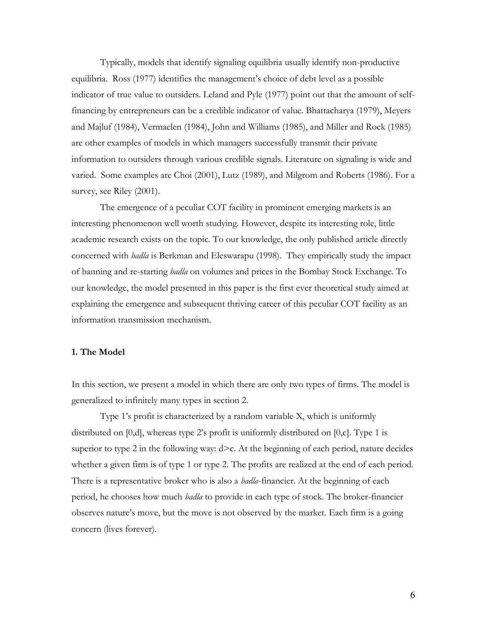Typically, models that identify signaling equilibria usually identify non-productive equilibria. Ross (1977) identifies the management's choice of debt level as a possible indicator of true value to outsiders. Leland and Pyle (1977) point out that the amount of selffinancing by entrepreneurs can be a credible indicator of value. Bhattacharya (1979), Meyers and Majluf (1984), Vermaelen (1984), John and Williams (1985), and Miller and Rock (1985) are other examples of models in which managers successfully transmit their private information to outsiders through various credible signals. Literature on signaling is wide and varied. Some examples are Choi (2001), Lutz (1989), and Milgrom and Roberts (1986). For a survey, see Riley (2001).

 The emergence of a peculiar COT facility in prominent emerging markets is an interesting phenomenon well worth studying. However, despite its interesting role, little academic research exists on the topic. To our knowledge, the only published article directly concerned with *badla* is Berkman and Eleswarapu (1998)*.* They empirically study the impact of banning and re-starting *badla* on volumes and prices in the Bombay Stock Exchange. To our knowledge, the model presented in this paper is the first ever theoretical study aimed at explaining the emergence and subsequent thriving career of this peculiar COT facility as an information transmission mechanism.

#### **1. The Model**

In this section, we present a model in which there are only two types of firms. The model is generalized to infinitely many types in section 2.

Type 1's profit is characterized by a random variable X, which is uniformly distributed on [0,d], whereas type 2's profit is uniformly distributed on [0,c]. Type 1 is superior to type 2 in the following way:  $d > c$ . At the beginning of each period, nature decides whether a given firm is of type 1 or type 2. The profits are realized at the end of each period. There is a representative broker who is also a *badla*-financier. At the beginning of each period, he chooses how much *badla* to provide in each type of stock. The broker-financier observes nature"s move, but the move is not observed by the market. Each firm is a going concern (lives forever).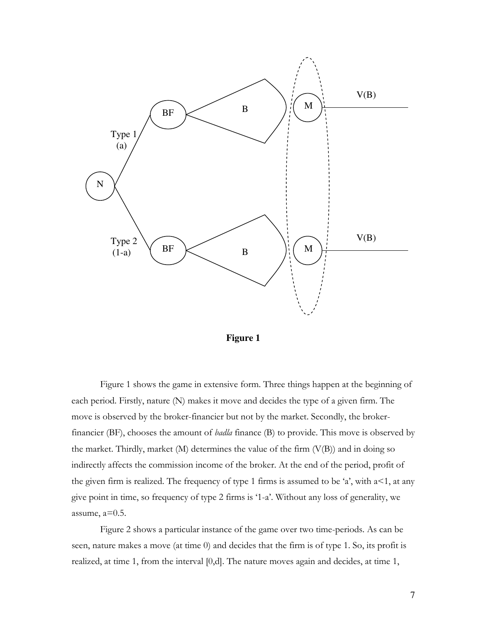



Figure 1 shows the game in extensive form. Three things happen at the beginning of each period. Firstly, nature (N) makes it move and decides the type of a given firm. The move is observed by the broker-financier but not by the market. Secondly, the brokerfinancier (BF), chooses the amount of *badla* finance (B) to provide. This move is observed by the market. Thirdly, market  $(M)$  determines the value of the firm  $(V(B))$  and in doing so indirectly affects the commission income of the broker. At the end of the period, profit of the given firm is realized. The frequency of type 1 firms is assumed to be 'a', with  $a<1$ , at any give point in time, so frequency of type 2 firms is "1-a". Without any loss of generality, we assume,  $a=0.5$ .

Figure 2 shows a particular instance of the game over two time-periods. As can be seen, nature makes a move (at time 0) and decides that the firm is of type 1. So, its profit is realized, at time 1, from the interval [0,d]. The nature moves again and decides, at time 1,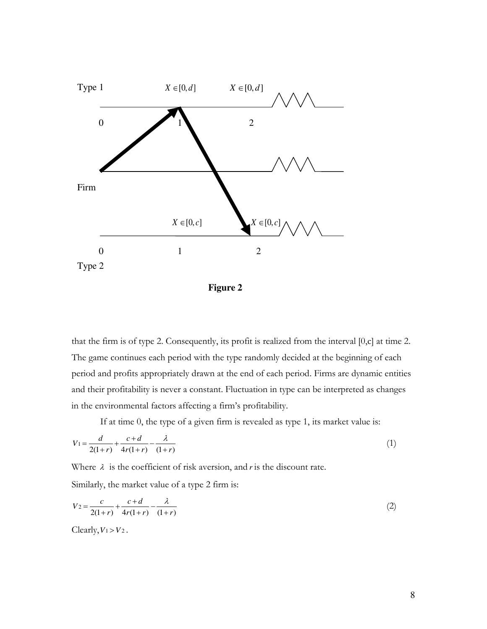

**Figure 2** 

that the firm is of type 2. Consequently, its profit is realized from the interval [0,c] at time 2. The game continues each period with the type randomly decided at the beginning of each period and profits appropriately drawn at the end of each period. Firms are dynamic entities and their profitability is never a constant. Fluctuation in type can be interpreted as changes in the environmental factors affecting a firm"s profitability.

If at time 0, the type of a given firm is revealed as type 1, its market value is:

$$
V_1 = \frac{d}{2(1+r)} + \frac{c+d}{4r(1+r)} - \frac{\lambda}{(1+r)}
$$
(1)

Where  $\lambda$  is the coefficient of risk aversion, and *r* is the discount rate.

Similarly, the market value of a type 2 firm is:

$$
V_2 = \frac{c}{2(1+r)} + \frac{c+d}{4r(1+r)} - \frac{\lambda}{(1+r)}
$$
(2)

Clearly,  $V_1 > V_2$ .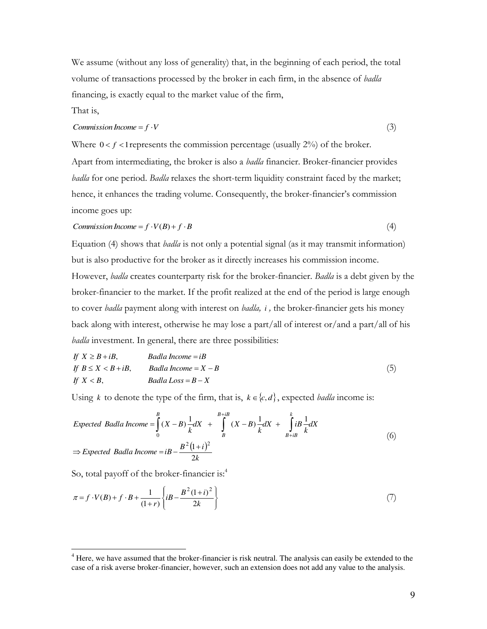We assume (without any loss of generality) that, in the beginning of each period, the total volume of transactions processed by the broker in each firm, in the absence of *badla*  financing, is exactly equal to the market value of the firm,

That is,

### *Commission Income* =  $f \cdot V$  (3)

Where  $0 < f < 1$  represents the commission percentage (usually  $2\%$ ) of the broker.

Apart from intermediating, the broker is also a *badla* financier. Broker-financier provides *badla* for one period. *Badla* relaxes the short-term liquidity constraint faced by the market; hence, it enhances the trading volume. Consequently, the broker-financier's commission income goes up:

$$
Commission Income = f \cdot V(B) + f \cdot B \tag{4}
$$

Equation (4) shows that *badla* is not only a potential signal (as it may transmit information) but is also productive for the broker as it directly increases his commission income. However, *badla* creates counterparty risk for the broker-financier. *Badla* is a debt given by the broker-financier to the market. If the profit realized at the end of the period is large enough to cover *badla* payment along with interest on *badla, i ,* the broker-financier gets his money back along with interest, otherwise he may lose a part/all of interest or/and a part/all of his *badla* investment. In general, there are three possibilities:

If 
$$
X \ge B + iB
$$
,  
\nIf  $B \le X < B + iB$ ,  
\n $H \le X < B$ ,  
\n $H \le B$ ,  
\n $H \le B$ ,  
\n $H \le B$ ,  
\n $H \le B$ ,  
\n $H \le B$ ,  
\n $H \le B$ ,  
\n $H \le B$ ,  
\n $H \le B$ ,  
\n $H \le B$ ,  
\n $H \le B$ ,  
\n $H \le B$ ,  
\n $H \le B$ ,  
\n $H \le B$ ,  
\n $H \le B$ ,  
\n $H \le B$ ,  
\n $H \le B$ ,  
\n $H \le B$ ,  
\n $H \le B$ ,  
\n $H \le B$ ,  
\n $H \le B$ ,  
\n $H \le B$ ,  
\n $H \le B$ ,  
\n $H \le B$ ,  
\n $H \ge B$ ,  
\n $H \ge B$ ,  
\n $H \ge B$ ,  
\n $H \ge B$ ,  
\n $H \ge B$ ,  
\n $H \ge B$ ,  
\n $H \ge B$ ,  
\n $H \ge B$ ,  
\n $H \ge B$ ,  
\n $H \ge B$ ,  
\n $H \ge B$ ,  
\n $H \ge B$ ,  
\n $H \ge B$ ,  
\n $H \ge B$ ,  
\n $H \ge B$ ,  
\n $H \ge B$ ,  
\n $H \ge B$ ,  
\n $H \ge B$ ,  
\n $H \ge B$ ,  
\n $H \ge B$ ,  
\n $H \ge B$ ,  
\n $H \ge B$ ,  
\n $H \ge B$ ,  
\n $H \ge B$ ,  
\n $H \ge B$ ,  
\n $H \ge B$ ,  
\n $H \ge B$ ,  
\n $H \ge B$ ,  
\n $H \ge B$ ,  
\n $H \ge B$ ,  
\n $H \ge B$ ,  
\n $H \ge B$ 

Using *k* to denote the type of the firm, that is,  $k \in \{c, d\}$ , expected *badla* income is:

Expected Badla Income = 
$$
\int_{0}^{B} (X - B) \frac{1}{k} dX + \int_{B}^{B+iB} (X - B) \frac{1}{k} dX + \int_{B+iB}^{k} iB \frac{1}{k} dX
$$
  
\n
$$
\Rightarrow Expected Badla Income = iB - \frac{B^{2}(1+i)^{2}}{2k}
$$
\n(6)

So, total payoff of the broker-financier is:<sup>4</sup>

$$
\pi = f \cdot V(B) + f \cdot B + \frac{1}{(1+r)} \left\{ iB - \frac{B^2 (1+i)^2}{2k} \right\} \tag{7}
$$

<sup>&</sup>lt;sup>4</sup> Here, we have assumed that the broker-financier is risk neutral. The analysis can easily be extended to the case of a risk averse broker-financier, however, such an extension does not add any value to the analysis.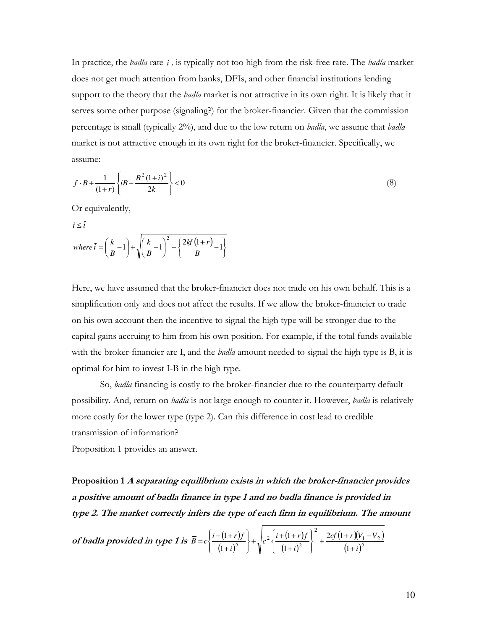In practice, the *badla* rate *i ,* is typically not too high from the risk-free rate. The *badla* market does not get much attention from banks, DFIs, and other financial institutions lending support to the theory that the *badla* market is not attractive in its own right. It is likely that it serves some other purpose (signaling?) for the broker-financier. Given that the commission percentage is small (typically 2%), and due to the low return on *badla*, we assume that *badla*  market is not attractive enough in its own right for the broker-financier. Specifically, we assume:

$$
f \cdot B + \frac{1}{(1+r)} \left\{ iB - \frac{B^2 (1+i)^2}{2k} \right\} < 0 \tag{8}
$$

Or equivalently,

$$
i \leq \overline{i}
$$
  
where  $\overline{i} = \left(\frac{k}{B} - 1\right) + \sqrt{\left(\frac{k}{B} - 1\right)^2 + \left\{\frac{2kf(1+r)}{B} - 1\right\}}$ 

Here, we have assumed that the broker-financier does not trade on his own behalf. This is a simplification only and does not affect the results. If we allow the broker-financier to trade on his own account then the incentive to signal the high type will be stronger due to the capital gains accruing to him from his own position. For example, if the total funds available with the broker-financier are I, and the *badla* amount needed to signal the high type is B, it is optimal for him to invest I-B in the high type.

So, *badla* financing is costly to the broker-financier due to the counterparty default possibility. And, return on *badla* is not large enough to counter it. However, *badla* is relatively more costly for the lower type (type 2). Can this difference in cost lead to credible transmission of information?

Proposition 1 provides an answer.

**Proposition 1 A separating equilibrium exists in which the broker-financier provides a positive amount of badla finance in type 1 and no badla finance is provided in type 2. The market correctly infers the type of each firm in equilibrium. The amount** 

of **badla** provided in type 1 is 
$$
\overline{B} = c \left\{ \frac{i + (1+r)f}{(1+i)^2} \right\} + \sqrt{c^2 \left\{ \frac{i + (1+r)f}{(1+i)^2} \right\}^2 + \frac{2cf(1+r)(V_1 - V_2)}{(1+i)^2}}
$$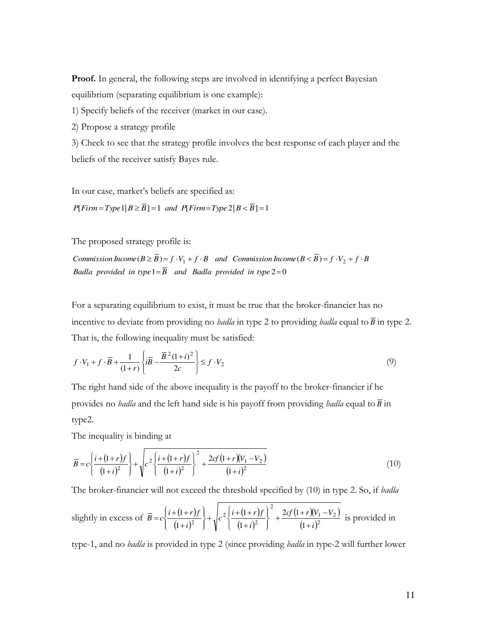**Proof.** In general, the following steps are involved in identifying a perfect Bayesian equilibrium (separating equilibrium is one example):

1) Specify beliefs of the receiver (market in our case).

2) Propose a strategy profile

3) Check to see that the strategy profile involves the best response of each player and the beliefs of the receiver satisfy Bayes rule.

In our case, market's beliefs are specified as:

 $P[$ *Firm* = *Type* 1|*B*  $\geq$  *B*] = 1 *and*  $P[$ *Firm* = *Type* 2|*B*  $\lt$  *B*] = 1

The proposed strategy profile is:

Badla provided in  $type1 = B$  and Badla provided in  $type2 = 0$ Commission Income  $(B \ge B) = f \cdot V_1 + f \cdot B$  and Commission Income  $(B < B) = f \cdot V_2 + f \cdot B$ 

For a separating equilibrium to exist, it must be true that the broker-financier has no incentive to deviate from providing no *badla* in type 2 to providing *badla* equal to  $\overline{B}$  in type 2. That is, the following inequality must be satisfied:

$$
f \cdot V_1 + f \cdot \overline{B} + \frac{1}{(1+r)} \left\{ i\overline{B} - \frac{\overline{B}^2 (1+i)^2}{2c} \right\} \le f \cdot V_2 \tag{9}
$$

The right hand side of the above inequality is the payoff to the broker-financier if he provides no *badla* and the left hand side is his payoff from providing *badla* equal to *B* in type2.

The inequality is binding at

$$
\overline{B} = c \left\{ \frac{i + (1+r)f}{(1+i)^2} \right\} + \sqrt{c^2 \left\{ \frac{i + (1+r)f}{(1+i)^2} \right\}^2 + \frac{2cf(1+r)(V_1 - V_2)}{(1+i)^2}}
$$
(10)

The broker-financier will not exceed the threshold specified by (10) in type 2. So, if *badla* 

slightly in excess of 
$$
\overline{B} = c \left\{ \frac{i + (1+r)f}{(1+i)^2} \right\} + \sqrt{c^2 \left\{ \frac{i + (1+r)f}{(1+i)^2} \right\}^2 + \frac{2cf(1+r)(V_1 - V_2)}{(1+i)^2}}
$$
 is provided in

type-1, and no *badla* is provided in type 2 (since providing *badla* in type-2 will further lower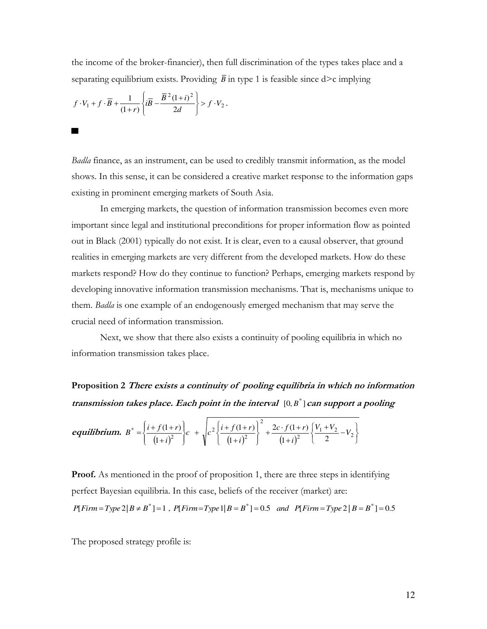the income of the broker-financier), then full discrimination of the types takes place and a separating equilibrium exists. Providing  $\overline{B}$  in type 1 is feasible since  $d > c$  implying

$$
f \cdot V_1 + f \cdot \overline{B} + \frac{1}{(1+r)} \left\{ i\overline{B} - \frac{\overline{B}^2 (1+i)^2}{2d} \right\} > f \cdot V_2.
$$

▄

*Badla* finance, as an instrument, can be used to credibly transmit information, as the model shows. In this sense, it can be considered a creative market response to the information gaps existing in prominent emerging markets of South Asia.

In emerging markets, the question of information transmission becomes even more important since legal and institutional preconditions for proper information flow as pointed out in Black (2001) typically do not exist. It is clear, even to a causal observer, that ground realities in emerging markets are very different from the developed markets. How do these markets respond? How do they continue to function? Perhaps, emerging markets respond by developing innovative information transmission mechanisms. That is, mechanisms unique to them. *Badla* is one example of an endogenously emerged mechanism that may serve the crucial need of information transmission.

Next, we show that there also exists a continuity of pooling equilibria in which no information transmission takes place.

**Proposition 2 There exists a continuity of pooling equilibria in which no information**  transmission takes place. Each point in the interval  $[0, B^*]$  can support a pooling

$$
\text{equilibrium. } B^* = \left\{ \frac{i + f(1+r)}{(1+i)^2} \right\} c \quad + \quad \sqrt{c^2 \left\{ \frac{i + f(1+r)}{(1+i)^2} \right\}^2 + \frac{2c \cdot f(1+r)}{(1+i)^2} \left\{ \frac{V_1 + V_2}{2} - V_2 \right\}}
$$

**Proof.** As mentioned in the proof of proposition 1, there are three steps in identifying perfect Bayesian equilibria. In this case, beliefs of the receiver (market) are:

$$
P[Firm = Type 2|B \neq B^*]=1
$$
,  $P[Firm = Type 1|B = B^*]=0.5$  and  $P[Firm = Type 2|B = B^*]=0.5$ 

The proposed strategy profile is: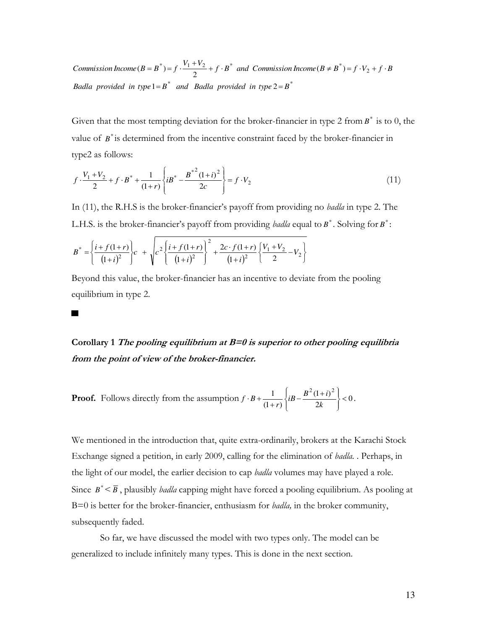*Badla provided in type*  $1 = B^*$  *and Badla provided in type*  $2 = B^*$ Commission Income  $(B = B^*) = f \cdot \frac{V_1 + V_2}{2} + f \cdot B^*$  and Commission Income  $(B \neq B^*) = f \cdot V_2 + f \cdot B^*$ 

Given that the most tempting deviation for the broker-financier in type 2 from  $B^*$  is to 0, the value of  $B^*$  is determined from the incentive constraint faced by the broker-financier in type2 as follows:

$$
f \cdot \frac{V_1 + V_2}{2} + f \cdot B^* + \frac{1}{(1+r)} \left\{ iB^* - \frac{B^{*2}(1+i)^2}{2c} \right\} = f \cdot V_2 \tag{11}
$$

In (11), the R.H.S is the broker-financier's payoff from providing no *badla* in type 2. The L.H.S. is the broker-financier's payoff from providing *badla* equal to  $B^*$ . Solving for  $B^*$ :

$$
B^* = \left\{ \frac{i + f(1+r)}{(1+i)^2} \right\} c + \sqrt{c^2 \left\{ \frac{i + f(1+r)}{(1+i)^2} \right\}^2 + \frac{2c \cdot f(1+r)}{(1+i)^2} \left\{ \frac{V_1 + V_2}{2} - V_2 \right\}}
$$

▄

Beyond this value, the broker-financier has an incentive to deviate from the pooling equilibrium in type 2.

**Corollary 1 The pooling equilibrium at B=0 is superior to other pooling equilibria from the point of view of the broker-financier.** 

**Proof.** Follows directly from the assumption  $f \cdot B + \frac{1}{(1+r)} \left\{iB - \frac{B - (1+t)}{2k}\right\} < 0$  $(1+i)$  $(1 + r)$ 1  $\int_{i\mathbf{p}} B^2 (1+i)^2$  $\prec$ J  $\left\{ \right.$  $\mathbf{I}$  $\overline{\mathcal{L}}$  $\left\{ \right.$  $B + \frac{1}{(1+r)} \left\{ iB - \frac{B^2(1+r)}{2k} \right\}$ *k*  $f \cdot B + \frac{1}{(1+r)} \left\{ iB - \frac{B^2 (1+i)^2}{2k} \right\} < 0.$ 

We mentioned in the introduction that, quite extra-ordinarily, brokers at the Karachi Stock Exchange signed a petition, in early 2009, calling for the elimination of *badla.* . Perhaps, in the light of our model, the earlier decision to cap *badla* volumes may have played a role. Since  $B^* < \overline{B}$ , plausibly *badla* capping might have forced a pooling equilibrium. As pooling at B=0 is better for the broker-financier, enthusiasm for *badla,* in the broker community, subsequently faded.

 So far, we have discussed the model with two types only. The model can be generalized to include infinitely many types. This is done in the next section.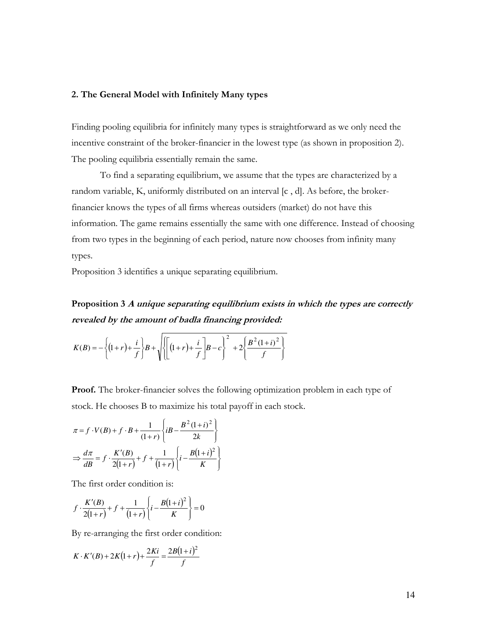#### **2. The General Model with Infinitely Many types**

Finding pooling equilibria for infinitely many types is straightforward as we only need the incentive constraint of the broker-financier in the lowest type (as shown in proposition 2). The pooling equilibria essentially remain the same.

 To find a separating equilibrium, we assume that the types are characterized by a random variable, K, uniformly distributed on an interval [c , d]. As before, the brokerfinancier knows the types of all firms whereas outsiders (market) do not have this information. The game remains essentially the same with one difference. Instead of choosing from two types in the beginning of each period, nature now chooses from infinity many types.

Proposition 3 identifies a unique separating equilibrium.

**Proposition 3 A unique separating equilibrium exists in which the types are correctly revealed by the amount of badla financing provided:** 

$$
K(B) = -\left\{ (1+r) + \frac{i}{f} \right\} B + \sqrt{\left\{ \left[ (1+r) + \frac{i}{f} \right] B - c \right\}^2 + 2 \left\{ \frac{B^2 (1+i)^2}{f} \right\}}
$$

**Proof.** The broker-financier solves the following optimization problem in each type of stock. He chooses B to maximize his total payoff in each stock.

$$
\pi = f \cdot V(B) + f \cdot B + \frac{1}{(1+r)} \left\{ iB - \frac{B^2 (1+i)^2}{2k} \right\}
$$

$$
\Rightarrow \frac{d\pi}{dB} = f \cdot \frac{K'(B)}{2(1+r)} + f + \frac{1}{(1+r)} \left\{ i - \frac{B(1+i)^2}{K} \right\}
$$

The first order condition is:

$$
f \cdot \frac{K'(B)}{2(1+r)} + f + \frac{1}{(1+r)} \left\{ i - \frac{B(1+i)^2}{K} \right\} = 0
$$

By re-arranging the first order condition:

$$
K \cdot K'(B) + 2K(1+r) + \frac{2Ki}{f} = \frac{2B(1+i)^2}{f}
$$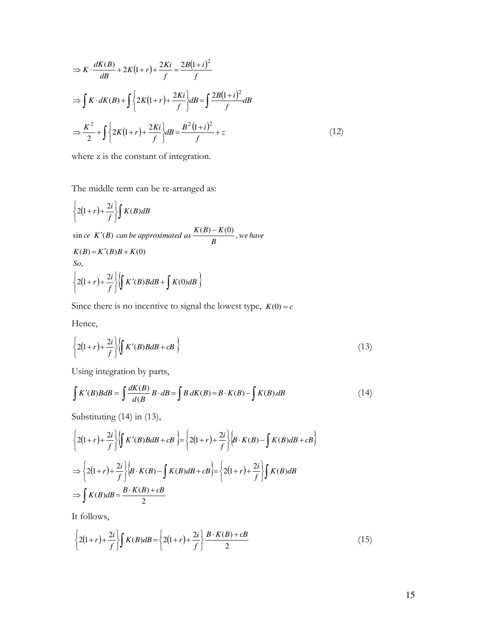$$
\Rightarrow K \cdot \frac{dK(B)}{dB} + 2K(1+r) + \frac{2Ki}{f} = \frac{2B(1+i)^2}{f}
$$

$$
\Rightarrow \int K \cdot dK(B) + \int \left\{ 2K(1+r) + \frac{2Ki}{f} \right\} dB = \int \frac{2B(1+i)^2}{f} dB
$$

$$
\Rightarrow \frac{K^2}{2} + \int \left\{ 2K(1+r) + \frac{2Ki}{f} \right\} dB = \frac{B^2(1+i)^2}{f} + z \tag{12}
$$

where z is the constant of integration.

The middle term can be re-arranged as:

$$
\left\{2(1+r)+\frac{2i}{f}\right\}\int K(B)dB
$$
  
sin ce K'(B) can be approximated as  $\frac{K(B)-K(0)}{B}$ ,

$$
K(B) = K'(B)B + K(0)
$$
  
So,  

$$
\left\{2(1+r) + \frac{2i}{f}\right\} \left\{K'(B)BdB + \int K(0)dB\right\}
$$

Since there is no incentive to signal the lowest type,  $K(0) = c$ 

Hence,

$$
\left\{2(1+r)+\frac{2i}{f}\right\}\left\{\int K'(B)BdB+cB\right\} \tag{13}
$$

 $\frac{K(0)}{B}$ , we have

Using integration by parts,

$$
\int K'(B)BdB = \int \frac{dK(B)}{d(B)}B \cdot dB = \int B dK(B) = B \cdot K(B) - \int K(B).dB \tag{14}
$$

Substituting (14) in (13),

$$
\left\{2(1+r)+\frac{2i}{f}\right\}\left\{\int K'(B)BdB+cB\right\} = \left\{2(1+r)+\frac{2i}{f}\right\}\left\{B\cdot K(B)-\int K(B)dB+cB\right\}
$$

$$
\Rightarrow \left\{2(1+r)+\frac{2i}{f}\right\}\left\{B\cdot K(B)-\int K(B)dB+cB\right\} = \left\{2(1+r)+\frac{2i}{f}\right\}\int K(B)dB
$$

$$
\Rightarrow \int K(B)dB = \frac{B\cdot K(B)+cB}{2}
$$

It follows,

$$
\left\{2(1+r)+\frac{2i}{f}\right\}\int K(B)dB = \left\{2(1+r)+\frac{2i}{f}\right\}\frac{B\cdot K(B)+cB}{2}
$$
\n(15)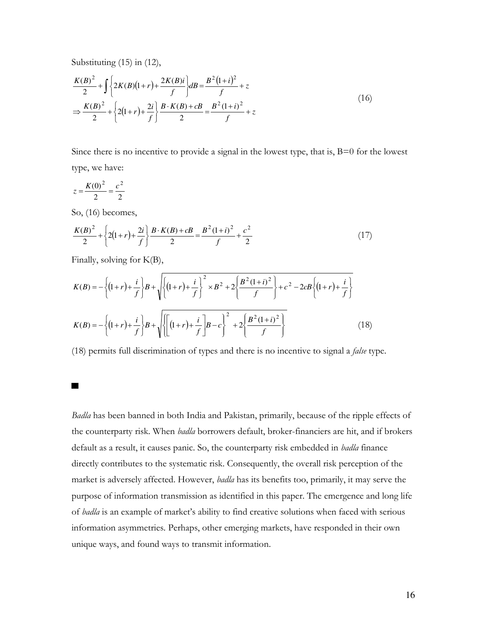Substituting (15) in (12),

$$
\frac{K(B)^2}{2} + \int \left\{ 2K(B)(1+r) + \frac{2K(B)i}{f} \right\} dB = \frac{B^2 (1+i)^2}{f} + z
$$
\n
$$
\Rightarrow \frac{K(B)^2}{2} + \left\{ 2(1+r) + \frac{2i}{f} \right\} \frac{B \cdot K(B) + cB}{2} = \frac{B^2 (1+i)^2}{f} + z
$$
\n(16)

Since there is no incentive to provide a signal in the lowest type, that is, B=0 for the lowest type, we have:

$$
z = \frac{K(0)^2}{2} = \frac{c^2}{2}
$$

So, (16) becomes,

$$
\frac{K(B)^2}{2} + \left\{ 2(1+r) + \frac{2i}{f} \right\} \frac{B \cdot K(B) + cB}{2} = \frac{B^2 (1+i)^2}{f} + \frac{c^2}{2}
$$
 (17)

Finally, solving for K(B),

$$
K(B) = -\left\{ (1+r) + \frac{i}{f} \right\} B + \sqrt{\left\{ (1+r) + \frac{i}{f} \right\}^2 \times B^2 + 2 \left\{ \frac{B^2 (1+i)^2}{f} \right\} + c^2 - 2cB \left\{ (1+r) + \frac{i}{f} \right\}}
$$
  

$$
K(B) = -\left\{ (1+r) + \frac{i}{f} \right\} B + \sqrt{\left\{ \left[ (1+r) + \frac{i}{f} \right] B - c \right\}^2 + 2 \left\{ \frac{B^2 (1+i)^2}{f} \right\}}
$$
(18)

(18) permits full discrimination of types and there is no incentive to signal a *false* type.

▄

*Badla* has been banned in both India and Pakistan, primarily, because of the ripple effects of the counterparty risk. When *badla* borrowers default, broker-financiers are hit, and if brokers default as a result, it causes panic. So, the counterparty risk embedded in *badla* finance directly contributes to the systematic risk. Consequently, the overall risk perception of the market is adversely affected. However, *badla* has its benefits too, primarily, it may serve the purpose of information transmission as identified in this paper. The emergence and long life of *badla* is an example of market's ability to find creative solutions when faced with serious information asymmetries. Perhaps, other emerging markets, have responded in their own unique ways, and found ways to transmit information.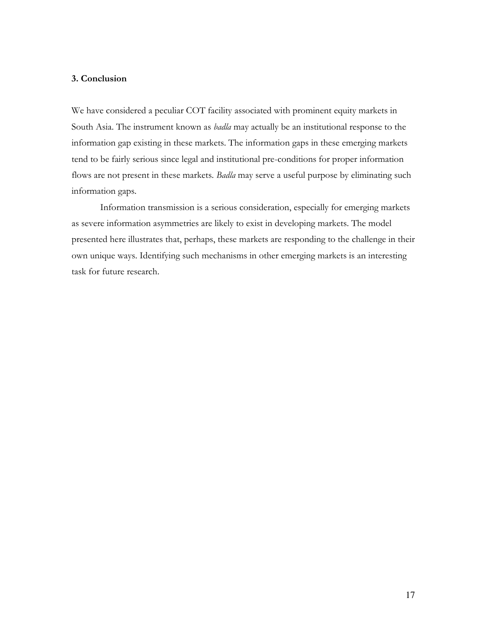### **3. Conclusion**

We have considered a peculiar COT facility associated with prominent equity markets in South Asia. The instrument known as *badla* may actually be an institutional response to the information gap existing in these markets. The information gaps in these emerging markets tend to be fairly serious since legal and institutional pre-conditions for proper information flows are not present in these markets. *Badla* may serve a useful purpose by eliminating such information gaps.

Information transmission is a serious consideration, especially for emerging markets as severe information asymmetries are likely to exist in developing markets. The model presented here illustrates that, perhaps, these markets are responding to the challenge in their own unique ways. Identifying such mechanisms in other emerging markets is an interesting task for future research.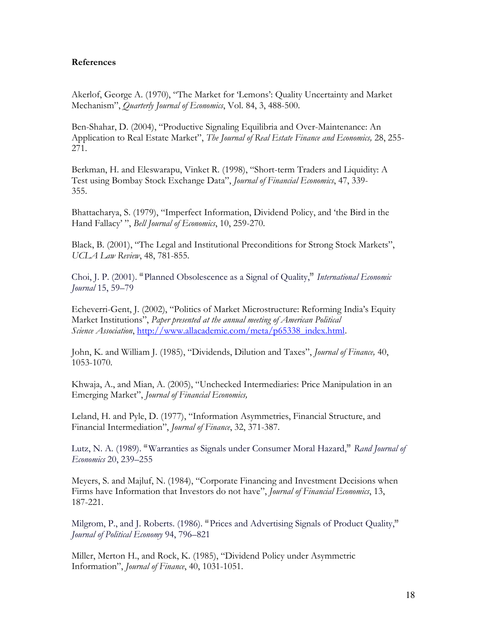### **References**

Akerlof, George A. (1970), "The Market for "Lemons": Quality Uncertainty and Market Mechanism", *Quarterly Journal of Economics*, Vol. 84, 3, 488-500.

Ben-Shahar, D. (2004), "Productive Signaling Equilibria and Over-Maintenance: An Application to Real Estate Market", *The Journal of Real Estate Finance and Economics,* 28, 255- 271.

Berkman, H. and Eleswarapu, Vinket R. (1998), "Short-term Traders and Liquidity: A Test using Bombay Stock Exchange Data", *Journal of Financial Economics*, 47, 339- 355.

Bhattacharya, S. (1979), "Imperfect Information, Dividend Policy, and "the Bird in the Hand Fallacy" ", *Bell Journal of Economics*, 10, 259-270.

Black, B. (2001), "The Legal and Institutional Preconditions for Strong Stock Markets", *UCLA Law Review*, 48, 781-855.

Choi, J. P. (2001). <sup>"</sup> Planned Obsolescence as a Signal of Quality," *International Economic Journal* 15, 59–79

Echeverri-Gent, J. (2002), "Politics of Market Microstructure: Reforming India"s Equity Market Institutions", *Paper presented at the annual meeting of American Political Science Association*, [http://www.allacademic.com/meta/p65338\\_index.html.](http://www.allacademic.com/meta/p65338_index.html)

John, K. and William J. (1985), "Dividends, Dilution and Taxes", *Journal of Finance,* 40, 1053-1070.

Khwaja, A., and Mian, A. (2005), "Unchecked Intermediaries: Price Manipulation in an Emerging Market", *Journal of Financial Economics,* 

Leland, H. and Pyle, D. (1977), "Information Asymmetries, Financial Structure, and Financial Intermediation", *Journal of Finance*, 32, 371-387.

Lutz, N. A. (1989). "Warranties as Signals under Consumer Moral Hazard," Rand Journal of *Economics* 20, 239–255

Meyers, S. and Majluf, N. (1984), "Corporate Financing and Investment Decisions when Firms have Information that Investors do not have", *Journal of Financial Economics*, 13, 187-221.

Milgrom, P., and J. Roberts. (1986). "Prices and Advertising Signals of Product Quality," *Journal of Political Economy* 94, 796–821

Miller, Merton H., and Rock, K. (1985), "Dividend Policy under Asymmetric Information", *Journal of Finance*, 40, 1031-1051.